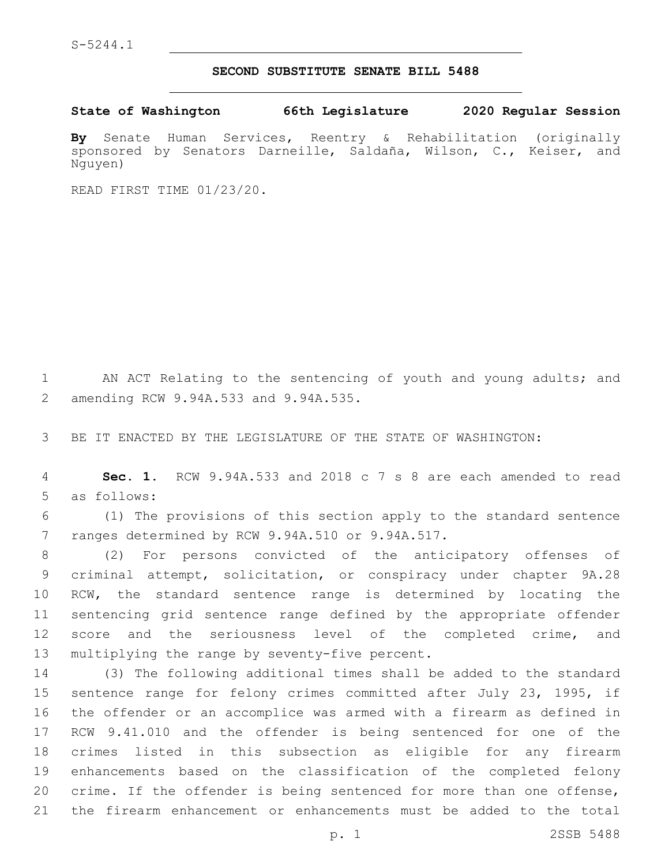## **SECOND SUBSTITUTE SENATE BILL 5488**

**State of Washington 66th Legislature 2020 Regular Session**

**By** Senate Human Services, Reentry & Rehabilitation (originally sponsored by Senators Darneille, Saldaña, Wilson, C., Keiser, and Nguyen)

READ FIRST TIME 01/23/20.

1 AN ACT Relating to the sentencing of youth and young adults; and amending RCW 9.94A.533 and 9.94A.535.2

3 BE IT ENACTED BY THE LEGISLATURE OF THE STATE OF WASHINGTON:

4 **Sec. 1.** RCW 9.94A.533 and 2018 c 7 s 8 are each amended to read 5 as follows:

6 (1) The provisions of this section apply to the standard sentence 7 ranges determined by RCW 9.94A.510 or 9.94A.517.

 (2) For persons convicted of the anticipatory offenses of criminal attempt, solicitation, or conspiracy under chapter 9A.28 RCW, the standard sentence range is determined by locating the sentencing grid sentence range defined by the appropriate offender 12 score and the seriousness level of the completed crime, and 13 multiplying the range by seventy-five percent.

 (3) The following additional times shall be added to the standard sentence range for felony crimes committed after July 23, 1995, if the offender or an accomplice was armed with a firearm as defined in RCW 9.41.010 and the offender is being sentenced for one of the crimes listed in this subsection as eligible for any firearm enhancements based on the classification of the completed felony crime. If the offender is being sentenced for more than one offense, the firearm enhancement or enhancements must be added to the total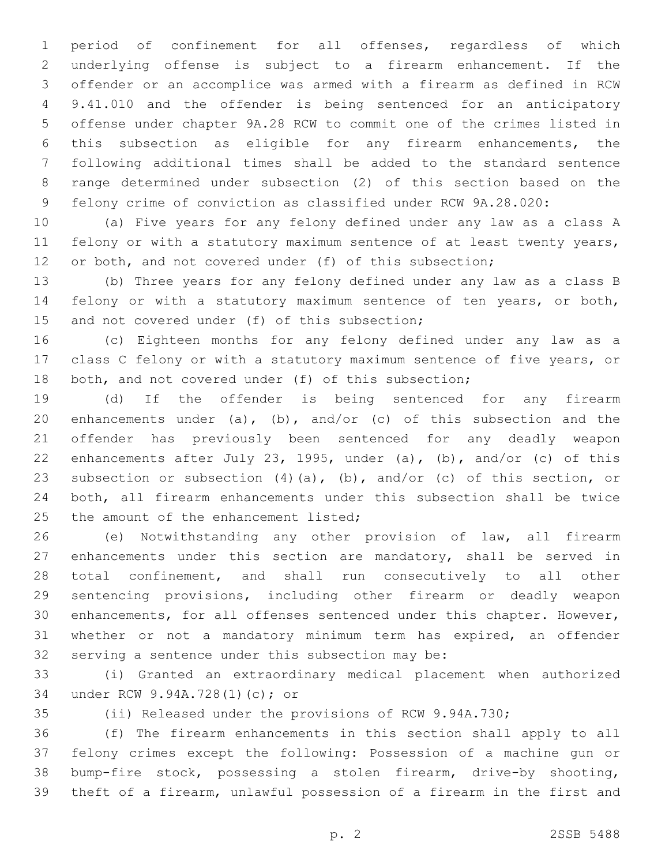period of confinement for all offenses, regardless of which underlying offense is subject to a firearm enhancement. If the offender or an accomplice was armed with a firearm as defined in RCW 9.41.010 and the offender is being sentenced for an anticipatory offense under chapter 9A.28 RCW to commit one of the crimes listed in this subsection as eligible for any firearm enhancements, the following additional times shall be added to the standard sentence range determined under subsection (2) of this section based on the felony crime of conviction as classified under RCW 9A.28.020:

 (a) Five years for any felony defined under any law as a class A felony or with a statutory maximum sentence of at least twenty years, 12 or both, and not covered under (f) of this subsection;

 (b) Three years for any felony defined under any law as a class B felony or with a statutory maximum sentence of ten years, or both, 15 and not covered under (f) of this subsection;

 (c) Eighteen months for any felony defined under any law as a class C felony or with a statutory maximum sentence of five years, or 18 both, and not covered under (f) of this subsection;

 (d) If the offender is being sentenced for any firearm 20 enhancements under (a), (b), and/or (c) of this subsection and the offender has previously been sentenced for any deadly weapon enhancements after July 23, 1995, under (a), (b), and/or (c) of this subsection or subsection (4)(a), (b), and/or (c) of this section, or both, all firearm enhancements under this subsection shall be twice 25 the amount of the enhancement listed;

 (e) Notwithstanding any other provision of law, all firearm enhancements under this section are mandatory, shall be served in total confinement, and shall run consecutively to all other sentencing provisions, including other firearm or deadly weapon enhancements, for all offenses sentenced under this chapter. However, whether or not a mandatory minimum term has expired, an offender 32 serving a sentence under this subsection may be:

 (i) Granted an extraordinary medical placement when authorized under RCW 9.94A.728(1)(c); or34

(ii) Released under the provisions of RCW 9.94A.730;

 (f) The firearm enhancements in this section shall apply to all felony crimes except the following: Possession of a machine gun or bump-fire stock, possessing a stolen firearm, drive-by shooting, theft of a firearm, unlawful possession of a firearm in the first and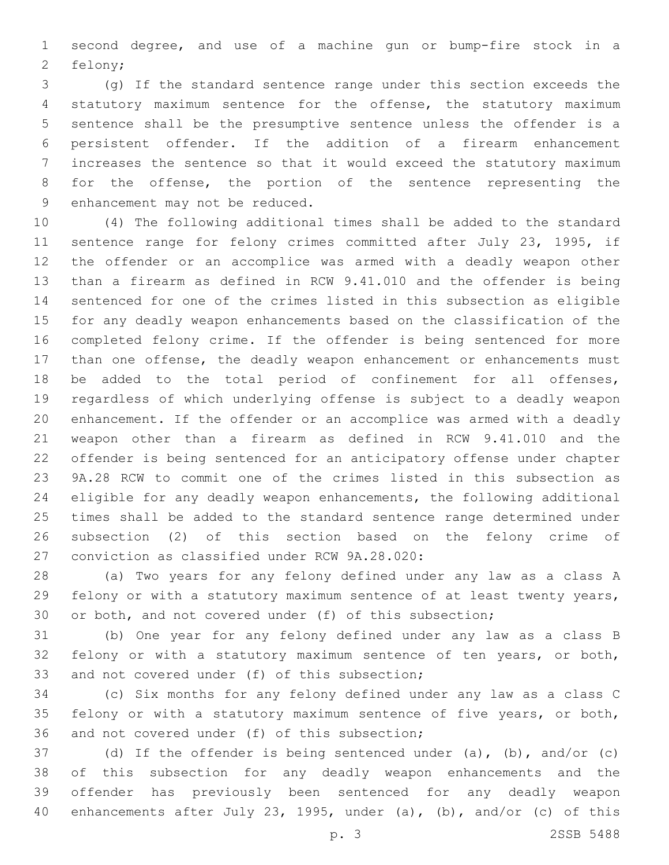second degree, and use of a machine gun or bump-fire stock in a 2 felony;

 (g) If the standard sentence range under this section exceeds the statutory maximum sentence for the offense, the statutory maximum sentence shall be the presumptive sentence unless the offender is a persistent offender. If the addition of a firearm enhancement increases the sentence so that it would exceed the statutory maximum for the offense, the portion of the sentence representing the 9 enhancement may not be reduced.

 (4) The following additional times shall be added to the standard sentence range for felony crimes committed after July 23, 1995, if the offender or an accomplice was armed with a deadly weapon other than a firearm as defined in RCW 9.41.010 and the offender is being sentenced for one of the crimes listed in this subsection as eligible for any deadly weapon enhancements based on the classification of the completed felony crime. If the offender is being sentenced for more than one offense, the deadly weapon enhancement or enhancements must be added to the total period of confinement for all offenses, regardless of which underlying offense is subject to a deadly weapon enhancement. If the offender or an accomplice was armed with a deadly weapon other than a firearm as defined in RCW 9.41.010 and the offender is being sentenced for an anticipatory offense under chapter 9A.28 RCW to commit one of the crimes listed in this subsection as eligible for any deadly weapon enhancements, the following additional times shall be added to the standard sentence range determined under subsection (2) of this section based on the felony crime of 27 conviction as classified under RCW 9A.28.020:

 (a) Two years for any felony defined under any law as a class A felony or with a statutory maximum sentence of at least twenty years, or both, and not covered under (f) of this subsection;

 (b) One year for any felony defined under any law as a class B felony or with a statutory maximum sentence of ten years, or both, 33 and not covered under (f) of this subsection;

 (c) Six months for any felony defined under any law as a class C felony or with a statutory maximum sentence of five years, or both, 36 and not covered under (f) of this subsection;

 (d) If the offender is being sentenced under (a), (b), and/or (c) of this subsection for any deadly weapon enhancements and the offender has previously been sentenced for any deadly weapon enhancements after July 23, 1995, under (a), (b), and/or (c) of this

p. 3 2SSB 5488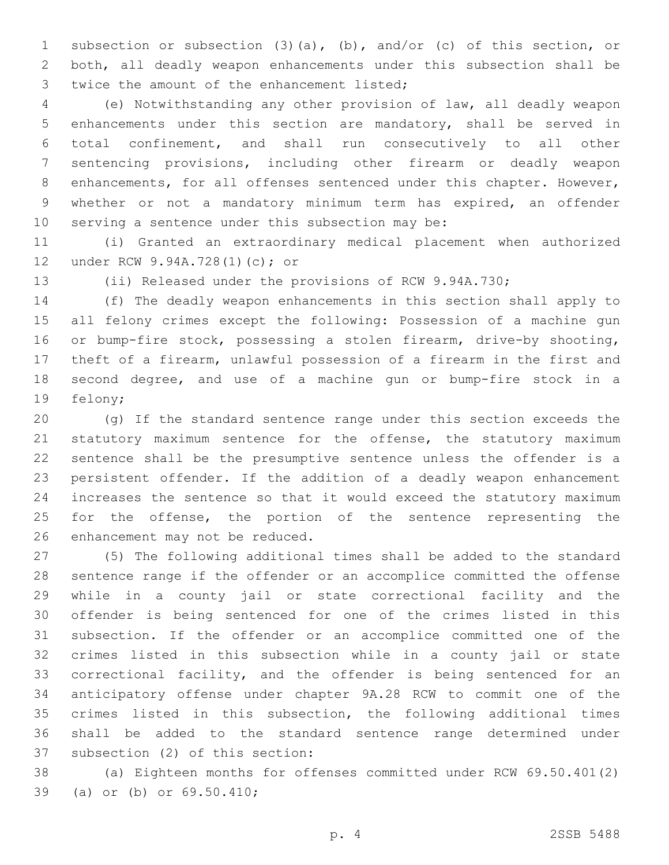subsection or subsection (3)(a), (b), and/or (c) of this section, or both, all deadly weapon enhancements under this subsection shall be 3 twice the amount of the enhancement listed;

 (e) Notwithstanding any other provision of law, all deadly weapon enhancements under this section are mandatory, shall be served in total confinement, and shall run consecutively to all other sentencing provisions, including other firearm or deadly weapon 8 enhancements, for all offenses sentenced under this chapter. However, whether or not a mandatory minimum term has expired, an offender 10 serving a sentence under this subsection may be:

 (i) Granted an extraordinary medical placement when authorized 12 under RCW 9.94A.728(1)(c); or

(ii) Released under the provisions of RCW 9.94A.730;

 (f) The deadly weapon enhancements in this section shall apply to all felony crimes except the following: Possession of a machine gun or bump-fire stock, possessing a stolen firearm, drive-by shooting, theft of a firearm, unlawful possession of a firearm in the first and second degree, and use of a machine gun or bump-fire stock in a 19 felony;

 (g) If the standard sentence range under this section exceeds the 21 statutory maximum sentence for the offense, the statutory maximum sentence shall be the presumptive sentence unless the offender is a persistent offender. If the addition of a deadly weapon enhancement increases the sentence so that it would exceed the statutory maximum 25 for the offense, the portion of the sentence representing the 26 enhancement may not be reduced.

 (5) The following additional times shall be added to the standard sentence range if the offender or an accomplice committed the offense while in a county jail or state correctional facility and the offender is being sentenced for one of the crimes listed in this subsection. If the offender or an accomplice committed one of the crimes listed in this subsection while in a county jail or state correctional facility, and the offender is being sentenced for an anticipatory offense under chapter 9A.28 RCW to commit one of the crimes listed in this subsection, the following additional times shall be added to the standard sentence range determined under 37 subsection (2) of this section:

 (a) Eighteen months for offenses committed under RCW 69.50.401(2) 39 (a) or (b) or 69.50.410;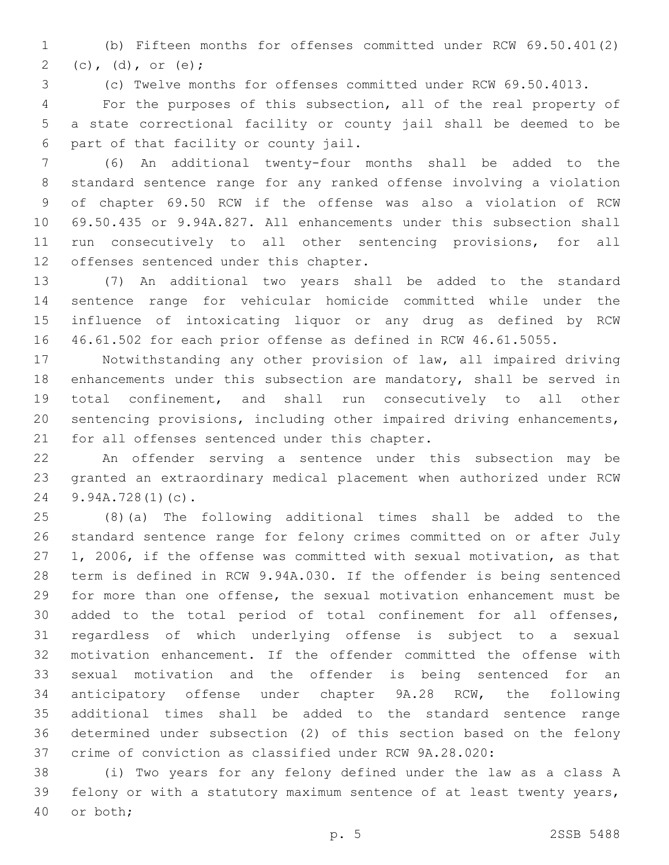(b) Fifteen months for offenses committed under RCW 69.50.401(2) 2 (c), (d), or (e);

(c) Twelve months for offenses committed under RCW 69.50.4013.

 For the purposes of this subsection, all of the real property of a state correctional facility or county jail shall be deemed to be part of that facility or county jail.6

 (6) An additional twenty-four months shall be added to the standard sentence range for any ranked offense involving a violation of chapter 69.50 RCW if the offense was also a violation of RCW 69.50.435 or 9.94A.827. All enhancements under this subsection shall run consecutively to all other sentencing provisions, for all 12 offenses sentenced under this chapter.

 (7) An additional two years shall be added to the standard sentence range for vehicular homicide committed while under the influence of intoxicating liquor or any drug as defined by RCW 46.61.502 for each prior offense as defined in RCW 46.61.5055.

 Notwithstanding any other provision of law, all impaired driving enhancements under this subsection are mandatory, shall be served in total confinement, and shall run consecutively to all other sentencing provisions, including other impaired driving enhancements, 21 for all offenses sentenced under this chapter.

 An offender serving a sentence under this subsection may be granted an extraordinary medical placement when authorized under RCW 24 9.94A.728(1)(c).

 (8)(a) The following additional times shall be added to the standard sentence range for felony crimes committed on or after July 1, 2006, if the offense was committed with sexual motivation, as that term is defined in RCW 9.94A.030. If the offender is being sentenced for more than one offense, the sexual motivation enhancement must be added to the total period of total confinement for all offenses, regardless of which underlying offense is subject to a sexual motivation enhancement. If the offender committed the offense with sexual motivation and the offender is being sentenced for an anticipatory offense under chapter 9A.28 RCW, the following additional times shall be added to the standard sentence range determined under subsection (2) of this section based on the felony crime of conviction as classified under RCW 9A.28.020:

 (i) Two years for any felony defined under the law as a class A felony or with a statutory maximum sentence of at least twenty years, 40 or both;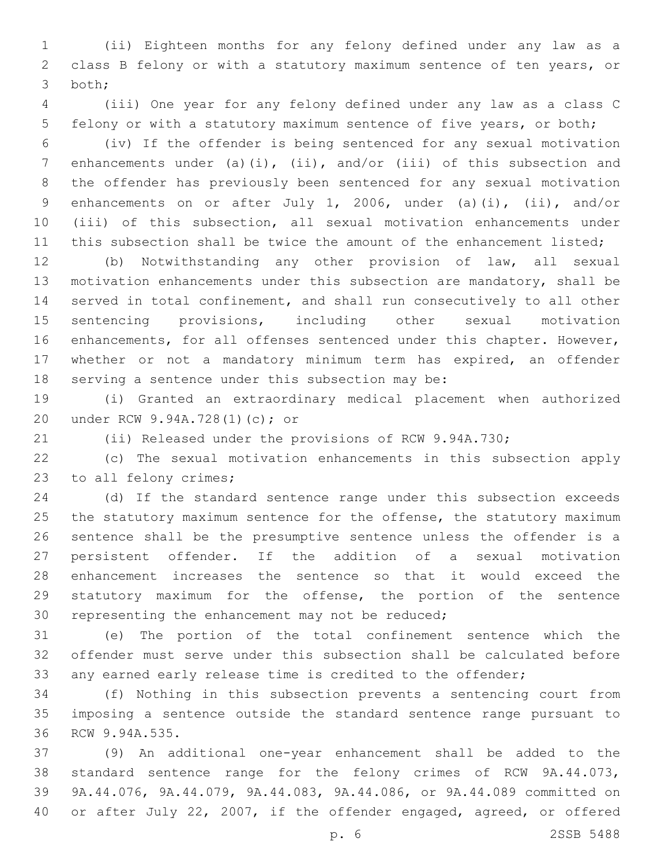(ii) Eighteen months for any felony defined under any law as a class B felony or with a statutory maximum sentence of ten years, or 3 both;

 (iii) One year for any felony defined under any law as a class C felony or with a statutory maximum sentence of five years, or both;

 (iv) If the offender is being sentenced for any sexual motivation enhancements under (a)(i), (ii), and/or (iii) of this subsection and the offender has previously been sentenced for any sexual motivation enhancements on or after July 1, 2006, under (a)(i), (ii), and/or (iii) of this subsection, all sexual motivation enhancements under 11 this subsection shall be twice the amount of the enhancement listed;

 (b) Notwithstanding any other provision of law, all sexual motivation enhancements under this subsection are mandatory, shall be served in total confinement, and shall run consecutively to all other sentencing provisions, including other sexual motivation enhancements, for all offenses sentenced under this chapter. However, whether or not a mandatory minimum term has expired, an offender 18 serving a sentence under this subsection may be:

 (i) Granted an extraordinary medical placement when authorized under RCW 9.94A.728(1)(c); or20

(ii) Released under the provisions of RCW 9.94A.730;

 (c) The sexual motivation enhancements in this subsection apply 23 to all felony crimes;

 (d) If the standard sentence range under this subsection exceeds 25 the statutory maximum sentence for the offense, the statutory maximum sentence shall be the presumptive sentence unless the offender is a persistent offender. If the addition of a sexual motivation enhancement increases the sentence so that it would exceed the statutory maximum for the offense, the portion of the sentence 30 representing the enhancement may not be reduced;

 (e) The portion of the total confinement sentence which the offender must serve under this subsection shall be calculated before any earned early release time is credited to the offender;

 (f) Nothing in this subsection prevents a sentencing court from imposing a sentence outside the standard sentence range pursuant to 36 RCW 9.94A.535.

 (9) An additional one-year enhancement shall be added to the standard sentence range for the felony crimes of RCW 9A.44.073, 9A.44.076, 9A.44.079, 9A.44.083, 9A.44.086, or 9A.44.089 committed on or after July 22, 2007, if the offender engaged, agreed, or offered

p. 6 2SSB 5488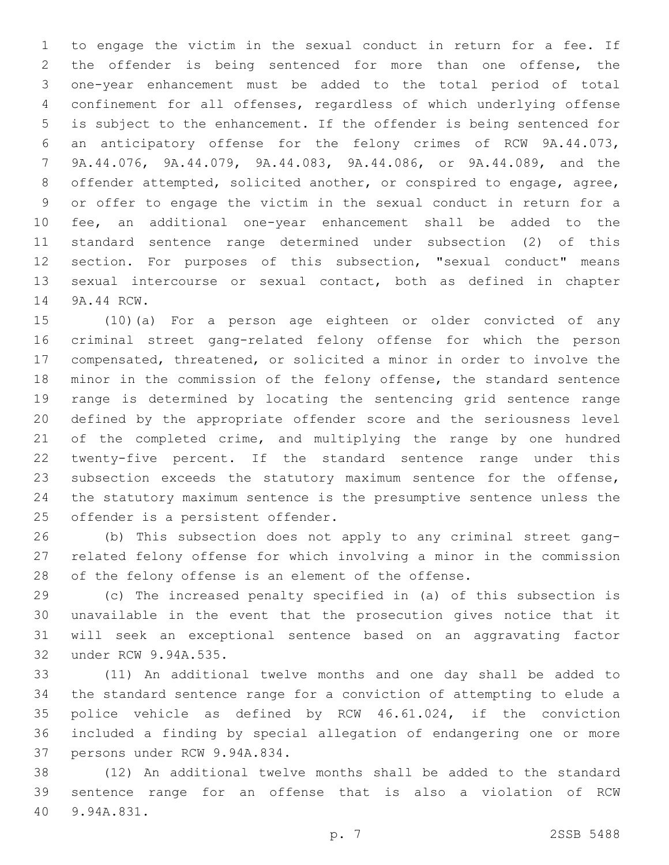to engage the victim in the sexual conduct in return for a fee. If the offender is being sentenced for more than one offense, the one-year enhancement must be added to the total period of total confinement for all offenses, regardless of which underlying offense is subject to the enhancement. If the offender is being sentenced for an anticipatory offense for the felony crimes of RCW 9A.44.073, 9A.44.076, 9A.44.079, 9A.44.083, 9A.44.086, or 9A.44.089, and the offender attempted, solicited another, or conspired to engage, agree, or offer to engage the victim in the sexual conduct in return for a fee, an additional one-year enhancement shall be added to the standard sentence range determined under subsection (2) of this section. For purposes of this subsection, "sexual conduct" means sexual intercourse or sexual contact, both as defined in chapter 14 9A.44 RCW.

 (10)(a) For a person age eighteen or older convicted of any criminal street gang-related felony offense for which the person compensated, threatened, or solicited a minor in order to involve the minor in the commission of the felony offense, the standard sentence range is determined by locating the sentencing grid sentence range defined by the appropriate offender score and the seriousness level 21 of the completed crime, and multiplying the range by one hundred twenty-five percent. If the standard sentence range under this subsection exceeds the statutory maximum sentence for the offense, the statutory maximum sentence is the presumptive sentence unless the 25 offender is a persistent offender.

 (b) This subsection does not apply to any criminal street gang- related felony offense for which involving a minor in the commission of the felony offense is an element of the offense.

 (c) The increased penalty specified in (a) of this subsection is unavailable in the event that the prosecution gives notice that it will seek an exceptional sentence based on an aggravating factor 32 under RCW 9.94A.535.

 (11) An additional twelve months and one day shall be added to the standard sentence range for a conviction of attempting to elude a police vehicle as defined by RCW 46.61.024, if the conviction included a finding by special allegation of endangering one or more 37 persons under RCW 9.94A.834.

 (12) An additional twelve months shall be added to the standard sentence range for an offense that is also a violation of RCW 9.94A.831.40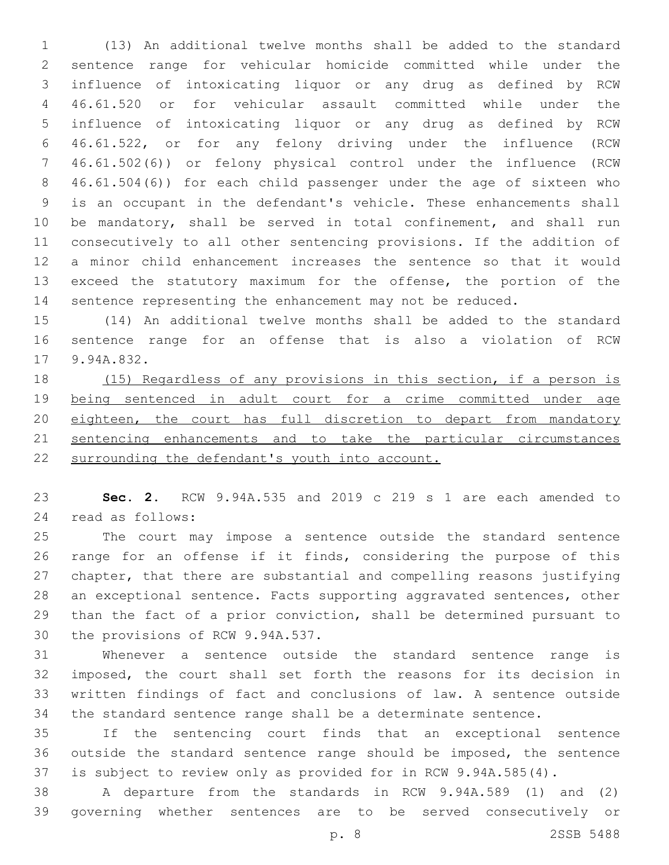(13) An additional twelve months shall be added to the standard sentence range for vehicular homicide committed while under the influence of intoxicating liquor or any drug as defined by RCW 46.61.520 or for vehicular assault committed while under the influence of intoxicating liquor or any drug as defined by RCW 46.61.522, or for any felony driving under the influence (RCW 46.61.502(6)) or felony physical control under the influence (RCW 46.61.504(6)) for each child passenger under the age of sixteen who is an occupant in the defendant's vehicle. These enhancements shall be mandatory, shall be served in total confinement, and shall run consecutively to all other sentencing provisions. If the addition of a minor child enhancement increases the sentence so that it would exceed the statutory maximum for the offense, the portion of the sentence representing the enhancement may not be reduced.

 (14) An additional twelve months shall be added to the standard sentence range for an offense that is also a violation of RCW 17 9.94A.832.

 (15) Regardless of any provisions in this section, if a person is being sentenced in adult court for a crime committed under age 20 eighteen, the court has full discretion to depart from mandatory sentencing enhancements and to take the particular circumstances surrounding the defendant's youth into account.

 **Sec. 2.** RCW 9.94A.535 and 2019 c 219 s 1 are each amended to 24 read as follows:

 The court may impose a sentence outside the standard sentence range for an offense if it finds, considering the purpose of this chapter, that there are substantial and compelling reasons justifying an exceptional sentence. Facts supporting aggravated sentences, other than the fact of a prior conviction, shall be determined pursuant to 30 the provisions of RCW 9.94A.537.

 Whenever a sentence outside the standard sentence range is imposed, the court shall set forth the reasons for its decision in written findings of fact and conclusions of law. A sentence outside the standard sentence range shall be a determinate sentence.

 If the sentencing court finds that an exceptional sentence outside the standard sentence range should be imposed, the sentence is subject to review only as provided for in RCW 9.94A.585(4).

 A departure from the standards in RCW 9.94A.589 (1) and (2) governing whether sentences are to be served consecutively or

p. 8 2SSB 5488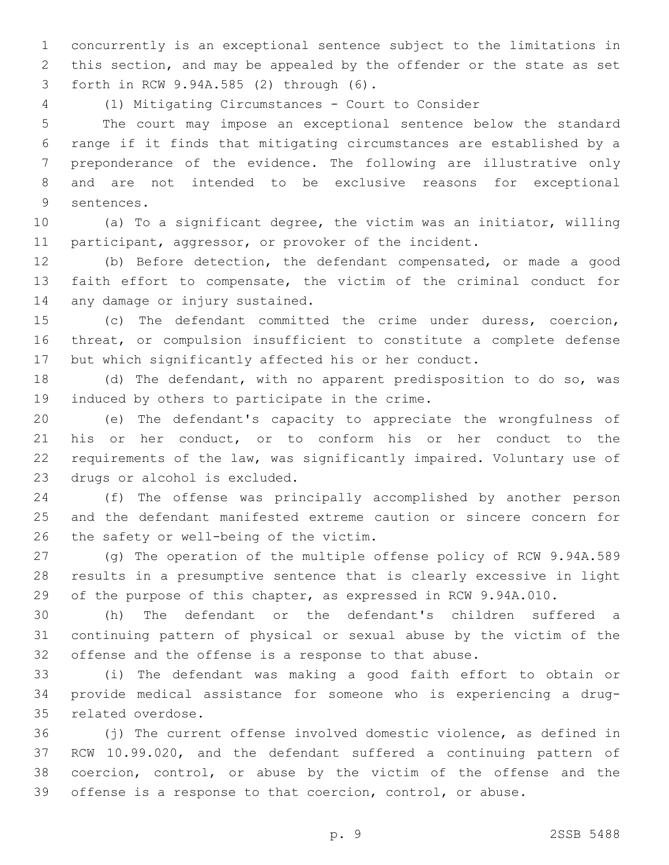concurrently is an exceptional sentence subject to the limitations in this section, and may be appealed by the offender or the state as set forth in RCW 9.94A.585 (2) through (6).3

(1) Mitigating Circumstances - Court to Consider

 The court may impose an exceptional sentence below the standard range if it finds that mitigating circumstances are established by a preponderance of the evidence. The following are illustrative only and are not intended to be exclusive reasons for exceptional 9 sentences.

 (a) To a significant degree, the victim was an initiator, willing 11 participant, aggressor, or provoker of the incident.

 (b) Before detection, the defendant compensated, or made a good faith effort to compensate, the victim of the criminal conduct for 14 any damage or injury sustained.

 (c) The defendant committed the crime under duress, coercion, threat, or compulsion insufficient to constitute a complete defense but which significantly affected his or her conduct.

 (d) The defendant, with no apparent predisposition to do so, was 19 induced by others to participate in the crime.

 (e) The defendant's capacity to appreciate the wrongfulness of his or her conduct, or to conform his or her conduct to the requirements of the law, was significantly impaired. Voluntary use of 23 drugs or alcohol is excluded.

 (f) The offense was principally accomplished by another person and the defendant manifested extreme caution or sincere concern for 26 the safety or well-being of the victim.

 (g) The operation of the multiple offense policy of RCW 9.94A.589 results in a presumptive sentence that is clearly excessive in light of the purpose of this chapter, as expressed in RCW 9.94A.010.

 (h) The defendant or the defendant's children suffered a continuing pattern of physical or sexual abuse by the victim of the offense and the offense is a response to that abuse.

 (i) The defendant was making a good faith effort to obtain or provide medical assistance for someone who is experiencing a drug-35 related overdose.

 (j) The current offense involved domestic violence, as defined in RCW 10.99.020, and the defendant suffered a continuing pattern of coercion, control, or abuse by the victim of the offense and the offense is a response to that coercion, control, or abuse.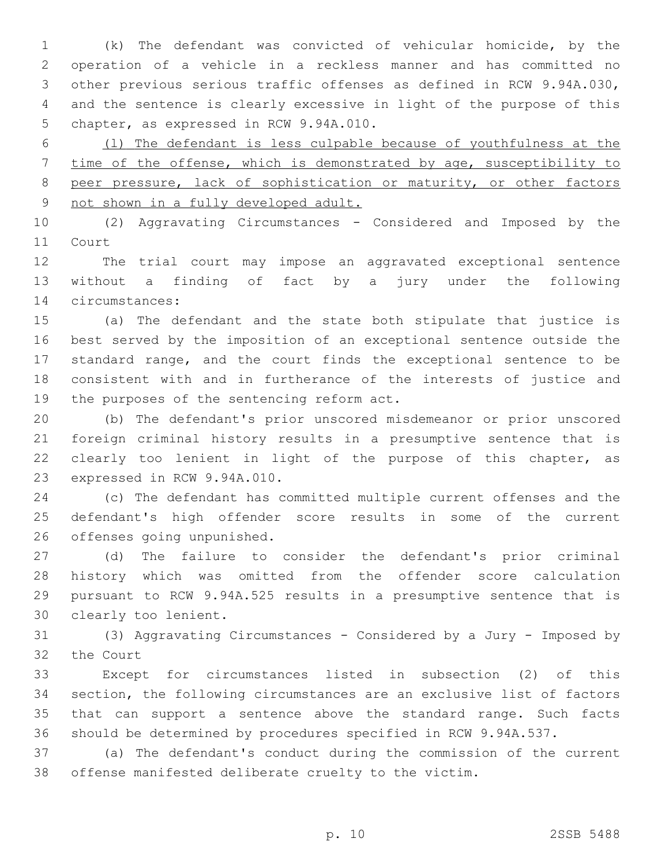(k) The defendant was convicted of vehicular homicide, by the operation of a vehicle in a reckless manner and has committed no other previous serious traffic offenses as defined in RCW 9.94A.030, and the sentence is clearly excessive in light of the purpose of this 5 chapter, as expressed in RCW 9.94A.010.

 (l) The defendant is less culpable because of youthfulness at the time of the offense, which is demonstrated by age, susceptibility to 8 peer pressure, lack of sophistication or maturity, or other factors not shown in a fully developed adult.

 (2) Aggravating Circumstances - Considered and Imposed by the 11 Court

 The trial court may impose an aggravated exceptional sentence without a finding of fact by a jury under the following circumstances:14

 (a) The defendant and the state both stipulate that justice is best served by the imposition of an exceptional sentence outside the standard range, and the court finds the exceptional sentence to be consistent with and in furtherance of the interests of justice and 19 the purposes of the sentencing reform act.

 (b) The defendant's prior unscored misdemeanor or prior unscored foreign criminal history results in a presumptive sentence that is clearly too lenient in light of the purpose of this chapter, as 23 expressed in RCW 9.94A.010.

 (c) The defendant has committed multiple current offenses and the defendant's high offender score results in some of the current 26 offenses going unpunished.

 (d) The failure to consider the defendant's prior criminal history which was omitted from the offender score calculation pursuant to RCW 9.94A.525 results in a presumptive sentence that is 30 clearly too lenient.

 (3) Aggravating Circumstances - Considered by a Jury - Imposed by 32 the Court

 Except for circumstances listed in subsection (2) of this section, the following circumstances are an exclusive list of factors that can support a sentence above the standard range. Such facts should be determined by procedures specified in RCW 9.94A.537.

 (a) The defendant's conduct during the commission of the current offense manifested deliberate cruelty to the victim.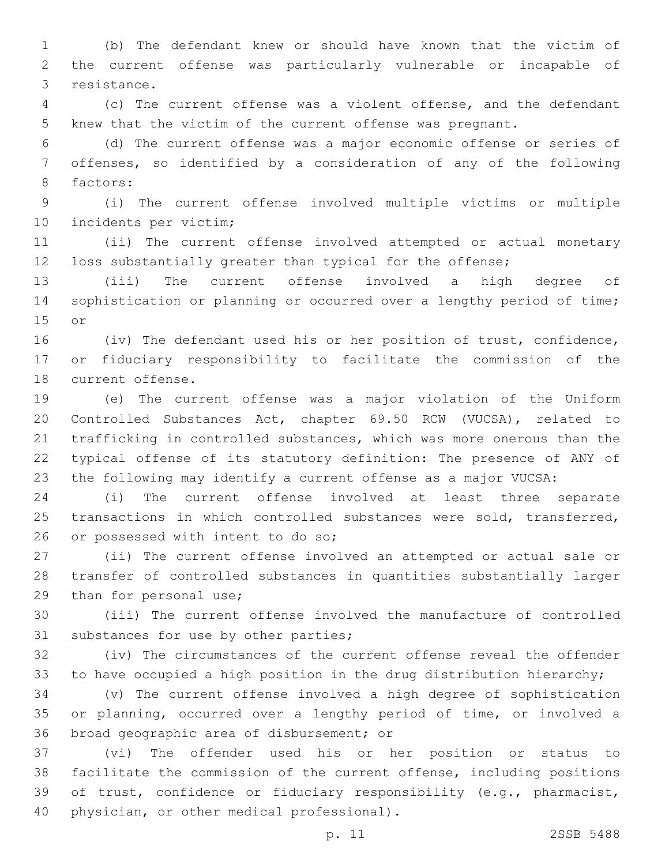(b) The defendant knew or should have known that the victim of the current offense was particularly vulnerable or incapable of 3 resistance.

 (c) The current offense was a violent offense, and the defendant knew that the victim of the current offense was pregnant.

 (d) The current offense was a major economic offense or series of offenses, so identified by a consideration of any of the following 8 factors:

 (i) The current offense involved multiple victims or multiple 10 incidents per victim;

 (ii) The current offense involved attempted or actual monetary loss substantially greater than typical for the offense;

 (iii) The current offense involved a high degree of 14 sophistication or planning or occurred over a lengthy period of time; 15 or

16 (iv) The defendant used his or her position of trust, confidence, or fiduciary responsibility to facilitate the commission of the 18 current offense.

 (e) The current offense was a major violation of the Uniform Controlled Substances Act, chapter 69.50 RCW (VUCSA), related to trafficking in controlled substances, which was more onerous than the typical offense of its statutory definition: The presence of ANY of the following may identify a current offense as a major VUCSA:

 (i) The current offense involved at least three separate transactions in which controlled substances were sold, transferred, 26 or possessed with intent to do so;

 (ii) The current offense involved an attempted or actual sale or transfer of controlled substances in quantities substantially larger 29 than for personal use;

 (iii) The current offense involved the manufacture of controlled 31 substances for use by other parties;

 (iv) The circumstances of the current offense reveal the offender to have occupied a high position in the drug distribution hierarchy;

 (v) The current offense involved a high degree of sophistication or planning, occurred over a lengthy period of time, or involved a 36 broad geographic area of disbursement; or

 (vi) The offender used his or her position or status to facilitate the commission of the current offense, including positions of trust, confidence or fiduciary responsibility (e.g., pharmacist, 40 physician, or other medical professional).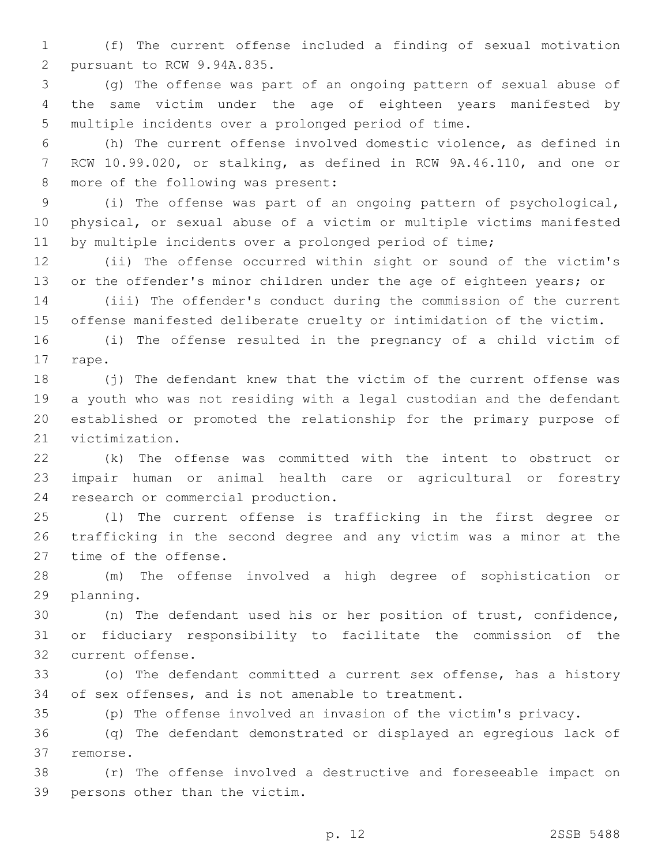(f) The current offense included a finding of sexual motivation 2 pursuant to RCW 9.94A.835.

 (g) The offense was part of an ongoing pattern of sexual abuse of the same victim under the age of eighteen years manifested by multiple incidents over a prolonged period of time.

 (h) The current offense involved domestic violence, as defined in RCW 10.99.020, or stalking, as defined in RCW 9A.46.110, and one or 8 more of the following was present:

 (i) The offense was part of an ongoing pattern of psychological, physical, or sexual abuse of a victim or multiple victims manifested by multiple incidents over a prolonged period of time;

 (ii) The offense occurred within sight or sound of the victim's 13 or the offender's minor children under the age of eighteen years; or

 (iii) The offender's conduct during the commission of the current offense manifested deliberate cruelty or intimidation of the victim.

 (i) The offense resulted in the pregnancy of a child victim of 17 rape.

 (j) The defendant knew that the victim of the current offense was a youth who was not residing with a legal custodian and the defendant established or promoted the relationship for the primary purpose of 21 victimization.

 (k) The offense was committed with the intent to obstruct or impair human or animal health care or agricultural or forestry 24 research or commercial production.

 (l) The current offense is trafficking in the first degree or trafficking in the second degree and any victim was a minor at the 27 time of the offense.

 (m) The offense involved a high degree of sophistication or 29 planning.

 (n) The defendant used his or her position of trust, confidence, or fiduciary responsibility to facilitate the commission of the 32 current offense.

 (o) The defendant committed a current sex offense, has a history of sex offenses, and is not amenable to treatment.

(p) The offense involved an invasion of the victim's privacy.

 (q) The defendant demonstrated or displayed an egregious lack of 37 remorse.

 (r) The offense involved a destructive and foreseeable impact on 39 persons other than the victim.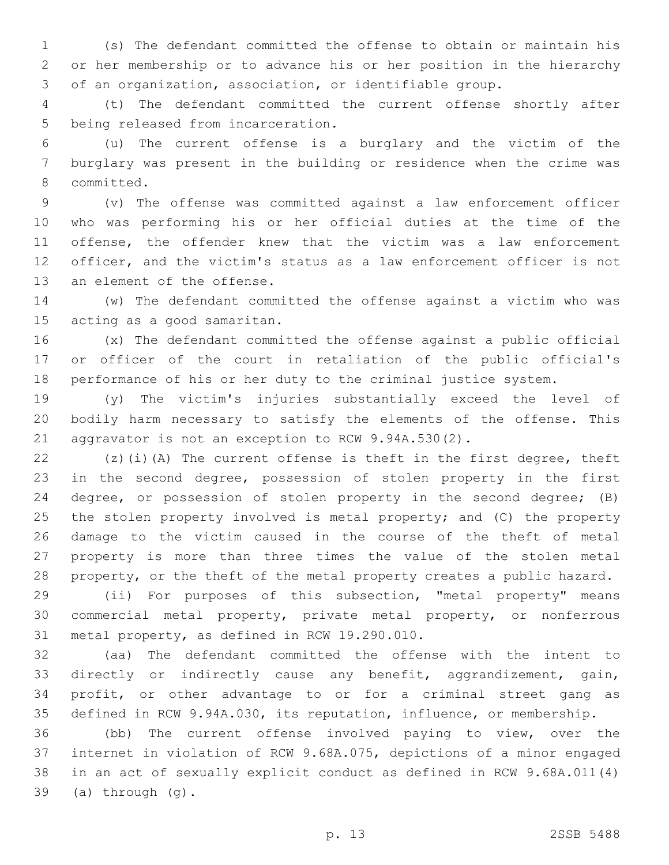(s) The defendant committed the offense to obtain or maintain his or her membership or to advance his or her position in the hierarchy of an organization, association, or identifiable group.

 (t) The defendant committed the current offense shortly after 5 being released from incarceration.

 (u) The current offense is a burglary and the victim of the burglary was present in the building or residence when the crime was 8 committed.

 (v) The offense was committed against a law enforcement officer who was performing his or her official duties at the time of the offense, the offender knew that the victim was a law enforcement officer, and the victim's status as a law enforcement officer is not 13 an element of the offense.

 (w) The defendant committed the offense against a victim who was 15 acting as a good samaritan.

 (x) The defendant committed the offense against a public official or officer of the court in retaliation of the public official's performance of his or her duty to the criminal justice system.

 (y) The victim's injuries substantially exceed the level of bodily harm necessary to satisfy the elements of the offense. This aggravator is not an exception to RCW 9.94A.530(2).

 (z)(i)(A) The current offense is theft in the first degree, theft in the second degree, possession of stolen property in the first degree, or possession of stolen property in the second degree; (B) 25 the stolen property involved is metal property; and (C) the property damage to the victim caused in the course of the theft of metal property is more than three times the value of the stolen metal property, or the theft of the metal property creates a public hazard.

 (ii) For purposes of this subsection, "metal property" means commercial metal property, private metal property, or nonferrous 31 metal property, as defined in RCW 19.290.010.

 (aa) The defendant committed the offense with the intent to directly or indirectly cause any benefit, aggrandizement, gain, profit, or other advantage to or for a criminal street gang as defined in RCW 9.94A.030, its reputation, influence, or membership.

 (bb) The current offense involved paying to view, over the internet in violation of RCW 9.68A.075, depictions of a minor engaged in an act of sexually explicit conduct as defined in RCW 9.68A.011(4) (a) through  $(g)$ .